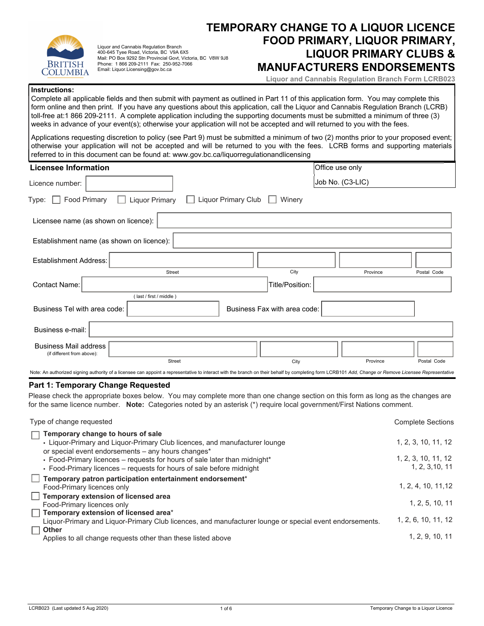

Liquor and Cannabis Regulation Branch 400-645 Tyee Road, Victoria, BC V9A 6X5 Mail: PO Box 9292 Stn Provincial Govt, Victoria, BC V8W 9J8 Phone: 1 866 209-2111 Fax: 250-952-7066 Email: Liquor.Licensing@gov.bc.ca

# **TEMPORARY CHANGE TO A LIQUOR LICENCE FOOD PRIMARY, LIQUOR PRIMARY, LIQUOR PRIMARY CLUBS & MANUFACTURERS ENDORSEMENTS**

**Liquor and Cannabis Regulation Branch Form LCRB023**

#### **Instructions:**

Complete all applicable fields and then submit with payment as outlined in Part 11 of this application form. You may complete this form online and then print. If you have any questions about this application, call the Liquor and Cannabis Regulation Branch (LCRB) toll-free at:1 866 209-2111. A complete application including the supporting documents must be submitted a minimum of three (3) weeks in advance of your event(s); otherwise your application will not be accepted and will returned to you with the fees.

 Applications requesting discretion to policy (see Part 9) must be submitted a minimum of two (2) months prior to your proposed event; otherwise your application will not be accepted and will be returned to you with the fees. LCRB forms and supporting materials referred to in this document can be found at: www.gov.bc.ca/liquorregulationandlicensing

| Licensee Information                                                                                                                                                                                  | Office use only                 |
|-------------------------------------------------------------------------------------------------------------------------------------------------------------------------------------------------------|---------------------------------|
| Licence number:                                                                                                                                                                                       | Job No. (C3-LIC)                |
| <b>Liquor Primary</b><br>$\Box$ Liquor Primary Club<br>Food Primary<br>Type: $\Box$<br>$\Box$                                                                                                         | Winery                          |
| Licensee name (as shown on licence):                                                                                                                                                                  |                                 |
| Establishment name (as shown on licence):                                                                                                                                                             |                                 |
| <b>Establishment Address:</b>                                                                                                                                                                         |                                 |
| <b>Street</b>                                                                                                                                                                                         | City<br>Postal Code<br>Province |
| Contact Name:                                                                                                                                                                                         | Title/Position:                 |
| (last / first / middle)                                                                                                                                                                               |                                 |
| Business Tel with area code:                                                                                                                                                                          | Business Fax with area code:    |
| Business e-mail:                                                                                                                                                                                      |                                 |
| <b>Business Mail address</b><br>(if different from above):                                                                                                                                            |                                 |
| Street                                                                                                                                                                                                | City<br>Postal Code<br>Province |
| Note: An authorized signing authority of a licensee can appoint a representative to interact with the branch on their behalf by completing form LCRB101 Add, Change or Remove Licensee Representative |                                 |

## **Part 1: Temporary Change Requested**

Please check the appropriate boxes below. You may complete more than one change section on this form as long as the changes are for the same licence number. **Note:** Categories noted by an asterisk (\*) require local government/First Nations comment.

| Type of change requested                                                                                                                                                     | <b>Complete Sections</b>               |
|------------------------------------------------------------------------------------------------------------------------------------------------------------------------------|----------------------------------------|
| $\Box$ Temporary change to hours of sale<br>• Liquor-Primary and Liquor-Primary Club licences, and manufacturer lounge<br>or special event endorsements - any hours changes* | 1, 2, 3, 10, 11, 12                    |
| • Food-Primary licences – requests for hours of sale later than midnight*<br>• Food-Primary licences – requests for hours of sale before midnight                            | 1, 2, 3, 10, 11, 12<br>1, 2, 3, 10, 11 |
| $\Box$ Temporary patron participation entertainment endorsement*<br>Food-Primary licences only                                                                               | 1, 2, 4, 10, 11, 12                    |
| Temporary extension of licensed area<br>Food-Primary licences only                                                                                                           | 1, 2, 5, 10, 11                        |
| $\Box$ Temporary extension of licensed area*<br>Liquor-Primary and Liquor-Primary Club licences, and manufacturer lounge or special event endorsements.                      | 1, 2, 6, 10, 11, 12                    |
| $\Box$ Other<br>Applies to all change requests other than these listed above                                                                                                 | 1, 2, 9, 10, 11                        |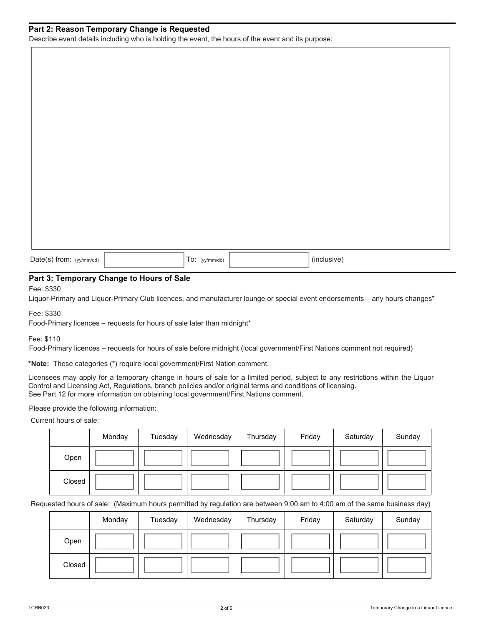## **Part 2: Reason Temporary Change is Requested**

Describe event details including who is holding the event, the hours of the event and its purpose:

| Date(s) from: (yy/mm/dd) | To: (yy/mm / dd) | (inclusive) |
|--------------------------|------------------|-------------|

# **Part 3: Temporary Change to Hours of Sale**

Fee: \$330

Liquor-Primary and Liquor-Primary Club licences, and manufacturer lounge or special event endorsements – any hours changes\*

Fee: \$330

Food-Primary licences – requests for hours of sale later than midnight\*

Fee: \$110

Food-Primary licences – requests for hours of sale before midnight (local government/First Nations comment not required)

**\*Note:** These categories (\*) require local government/First Nation comment.

Licensees may apply for a temporary change in hours of sale for a limited period, subject to any restrictions within the Liquor Control and Licensing Act, Regulations, branch policies and/or original terms and conditions of licensing. See Part 12 for more information on obtaining local government/First Nations comment.

Please provide the following information:

Current hours of sale:

|        | Monday | Tuesday | Wednesday | Thursday | Friday | Saturday | Sunday |
|--------|--------|---------|-----------|----------|--------|----------|--------|
| Open   |        |         |           |          |        |          |        |
| Closed |        |         |           |          |        |          |        |

Requested hours of sale: (Maximum hours permitted by regulation are between 9:00 am to 4:00 am of the same business day)

|        | Monday | Tuesday | Wednesday | Thursday | Friday | Saturday | Sunday |
|--------|--------|---------|-----------|----------|--------|----------|--------|
| Open   |        |         |           |          |        |          |        |
| Closed |        |         |           |          |        |          |        |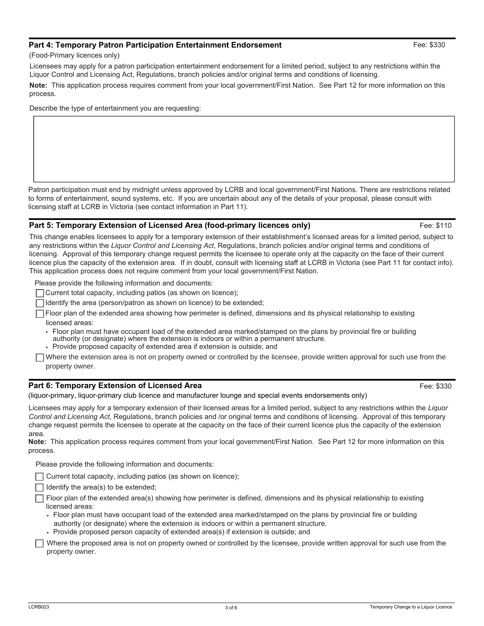## **Part 4: Temporary Patron Participation Entertainment Endorsement**

Fee: \$330

(Food-Primary licences only)

Licensees may apply for a patron participation entertainment endorsement for a limited period, subject to any restrictions within the Liquor Control and Licensing Act, Regulations, branch policies and/or original terms and conditions of licensing.

**Note:** This application process requires comment from your local government/First Nation. See Part 12 for more information on this process.

Describe the type of entertainment you are requesting:

Patron participation must end by midnight unless approved by LCRB and local government/First Nations. There are restrictions related to forms of entertainment, sound systems, etc. If you are uncertain about any of the details of your proposal, please consult with licensing staff at LCRB in Victoria (see contact information in Part 11).

# **Part 5: Temporary Extension of Licensed Area (food-primary licences only)** Fee: \$110

This change enables licensees to apply for a temporary extension of their establishment's licensed areas for a limited period, subject to any restrictions within the *Liquor Control and Licensing Act*, Regulations, branch policies and/or original terms and conditions of licensing. Approval of this temporary change request permits the licensee to operate only at the capacity on the face of their current licence plus the capacity of the extension area. If in doubt, consult with licensing staff at LCRB in Victoria (see Part 11 for contact info). This application process does not require comment from your local government/First Nation.

Please provide the following information and documents:

- $\Box$  Current total capacity, including patios (as shown on licence);
- $\Box$  Identify the area (person/patron as shown on licence) to be extended;
- $\Box$  Floor plan of the extended area showing how perimeter is defined, dimensions and its physical relationship to existing licensed areas:
	- Floor plan must have occupant load of the extended area marked/stamped on the plans by provincial fire or building authority (or designate) where the extension is indoors or within a permanent structure.
	- Provide proposed capacity of extended area if extension is outside; and

 $\Box$  Where the extension area is not on property owned or controlled by the licensee, provide written approval for such use from the property owner.

## **Part 6: Temporary Extension of Licensed Area** Fee: \$330

(liquor-primary, liquor-primary club licence and manufacturer lounge and special events endorsements only)

Licensees may apply for a temporary extension of their licensed areas for a limited period, subject to any restrictions within the *Liquor Control and Licensing Act*, Regulations, branch policies and /or original terms and conditions of licensing. Approval of this temporary change request permits the licensee to operate at the capacity on the face of their current licence plus the capacity of the extension area.

**Note:** This application process requires comment from your local government/First Nation.See Part 12 for more information on this process.

Please provide the following information and documents:

Current total capacity, including patios (as shown on licence);

 $\Box$  Identify the area(s) to be extended;

Floor plan of the extended area(s) showing how perimeter is defined, dimensions and its physical relationship to existing licensed areas:

- Floor plan must have occupant load of the extended area marked/stamped on the plans by provincial fire or building authority (or designate) where the extension is indoors or within a permanent structure.
- Provide proposed person capacity of extended area(s) if extension is outside; and
- Where the proposed area is not on property owned or controlled by the licensee, provide written approval for such use from the property owner.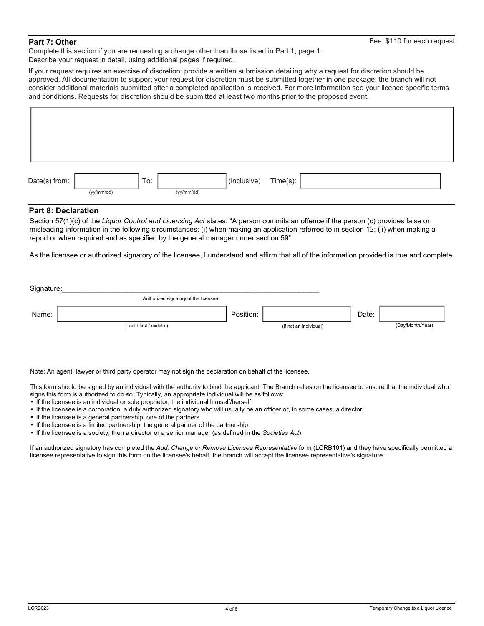Complete this section if you are requesting a change other than those listed in Part 1, page 1. Describe your request in detail, using additional pages if required.

If your request requires an exercise of discretion: provide a written submission detailing why a request for discretion should be approved. All documentation to support your request for discretion must be submitted together in one package; the branch will not consider additional materials submitted after a completed application is received. For more information see your licence specific terms and conditions. Requests for discretion should be submitted at least two months prior to the proposed event.

| Date(s) from: |              | To: |            | $ $ (inclusive) | Time(s): |  |
|---------------|--------------|-----|------------|-----------------|----------|--|
|               | (yy/mm / dd) |     | (yy/mm/dd) |                 |          |  |

# **Part 8: Declaration**

Section 57(1)(c) of the *Liquor Control and Licensing Act* states: "A person commits an offence if the person (c) provides false or misleading information in the following circumstances: (i) when making an application referred to in section 12; (ii) when making a report or when required and as specified by the general manager under section 59".

As the licensee or authorized signatory of the licensee, I understand and affirm that all of the information provided is true and complete.

| Signature: |                                      |           |                        |       |                  |
|------------|--------------------------------------|-----------|------------------------|-------|------------------|
|            | Authorized signatory of the licensee |           |                        |       |                  |
| Name:      |                                      | Position: |                        | Date: |                  |
|            | (last / first / middle)              |           | (if not an individual) |       | (Day/Month/Year) |

Note: An agent, lawyer or third party operator may not sign the declaration on behalf of the licensee.

This form should be signed by an individual with the authority to bind the applicant. The Branch relies on the licensee to ensure that the individual who signs this form is authorized to do so. Typically, an appropriate individual will be as follows:

- If the licensee is an individual or sole proprietor, the individual himself/herself
- If the licensee is a corporation, a duly authorized signatory who will usually be an officer or, in some cases, a director
- If the licensee is a general partnership, one of the partners
- If the licensee is a limited partnership, the general partner of the partnership
- If the licensee is a society, then a director or a senior manager (as defined in the *Societies Act*)

If an authorized signatory has completed the *Add, Change or Remove Licensee Representative* form (LCRB101) and they have specifically permitted a licensee representative to sign this form on the licensee's behalf, the branch will accept the licensee representative's signature.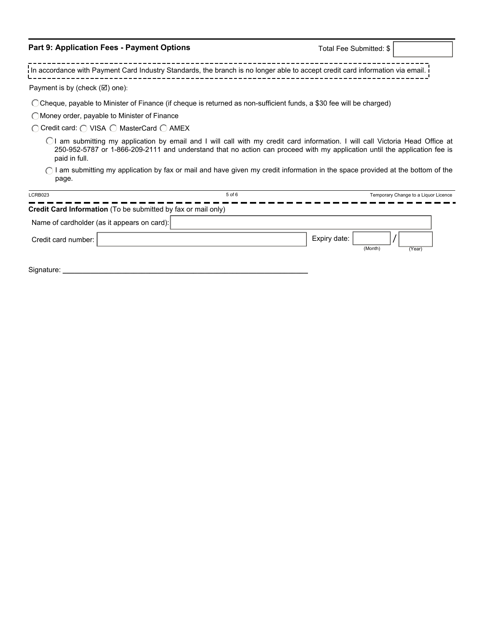| <b>Part 9: Application Fees - Payment Options</b>                                                                                                                                                                                                                                                                                                                                                                      | Total Fee Submitted: \$              |
|------------------------------------------------------------------------------------------------------------------------------------------------------------------------------------------------------------------------------------------------------------------------------------------------------------------------------------------------------------------------------------------------------------------------|--------------------------------------|
| i In accordance with Payment Card Industry Standards, the branch is no longer able to accept credit card information via email. i                                                                                                                                                                                                                                                                                      |                                      |
| Payment is by (check $(\boxtimes)$ one):                                                                                                                                                                                                                                                                                                                                                                               |                                      |
| C Cheque, payable to Minister of Finance (if cheque is returned as non-sufficient funds, a \$30 fee will be charged)                                                                                                                                                                                                                                                                                                   |                                      |
| OMoney order, payable to Minister of Finance                                                                                                                                                                                                                                                                                                                                                                           |                                      |
| ◯ Credit card: ◯ VISA ◯ MasterCard ◯ AMEX                                                                                                                                                                                                                                                                                                                                                                              |                                      |
| ○ I am submitting my application by email and I will call with my credit card information. I will call Victoria Head Office at<br>250-952-5787 or 1-866-209-2111 and understand that no action can proceed with my application until the application fee is<br>paid in full.<br>I am submitting my application by fax or mail and have given my credit information in the space provided at the bottom of the<br>page. |                                      |
| 5 of 6<br>LCRB023                                                                                                                                                                                                                                                                                                                                                                                                      | Temporary Change to a Liquor Licence |
| <b>Credit Card Information</b> (To be submitted by fax or mail only)                                                                                                                                                                                                                                                                                                                                                   |                                      |
| Name of cardholder (as it appears on card):                                                                                                                                                                                                                                                                                                                                                                            |                                      |
| Credit card number:                                                                                                                                                                                                                                                                                                                                                                                                    | Expiry date:<br>(Month)<br>(Year)    |
| Signature:                                                                                                                                                                                                                                                                                                                                                                                                             |                                      |